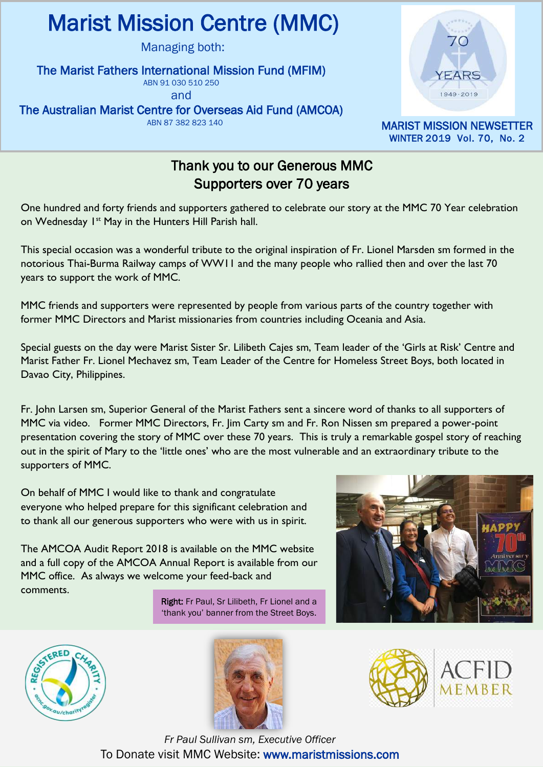# I Marist Mission Centre (MMC)

Managing both:

#### The Marist Fathers International Mission Fund (MFIM)

ABN 91 030 510 250

and

The Australian Marist Centre for Overseas Aid Fund (AMCOA)

ABN 87 382 823 140



MARIST MISSION NEWSETTER WINTER 2019 Vol. 70, No. 2

### Thank you to our Generous MMC Supporters over 70 years

One hundred and forty friends and supporters gathered to celebrate our story at the MMC 70 Year celebration on Wednesday 1<sup>st</sup> May in the Hunters Hill Parish hall.

This special occasion was a wonderful tribute to the original inspiration of Fr. Lionel Marsden sm formed in the notorious Thai-Burma Railway camps of WW11 and the many people who rallied then and over the last 70 years to support the work of MMC.

MMC friends and supporters were represented by people from various parts of the country together with former MMC Directors and Marist missionaries from countries including Oceania and Asia.

Special guests on the day were Marist Sister Sr. Lilibeth Cajes sm, Team leader of the 'Girls at Risk' Centre and Marist Father Fr. Lionel Mechavez sm, Team Leader of the Centre for Homeless Street Boys, both located in Davao City, Philippines.

Fr. John Larsen sm, Superior General of the Marist Fathers sent a sincere word of thanks to all supporters of MMC via video. Former MMC Directors, Fr. Jim Carty sm and Fr. Ron Nissen sm prepared a power-point presentation covering the story of MMC over these 70 years. This is truly a remarkable gospel story of reaching out in the spirit of Mary to the 'little ones' who are the most vulnerable and an extraordinary tribute to the supporters of MMC.

On behalf of MMC I would like to thank and congratulate everyone who helped prepare for this significant celebration and to thank all our generous supporters who were with us in spirit.

The AMCOA Audit Report 2018 is available on the MMC website and a full copy of the AMCOA Annual Report is available from our MMC office. As always we welcome your feed-back and comments.

> Right: Fr Paul, Sr Lilibeth, Fr Lionel and a 'thank you' banner from the Street Boys.









*Fr Paul Sullivan sm, Executive Officer* To Donate visit MMC Website: www.maristmissions.com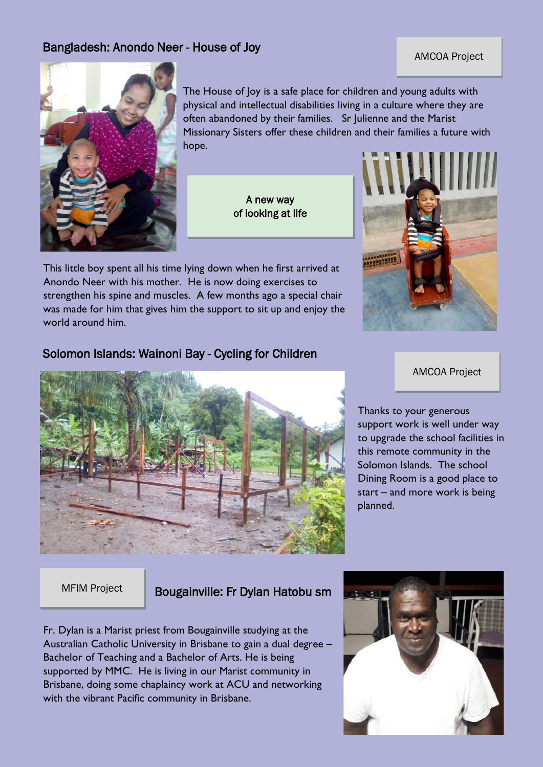#### Bangladesh: Anondo Neer - House of Joy

#### AMCOA Project



The House of Joy is a safe place for children and young adults with physical and intellectual disabilities living in a culture where they are often abandoned by their families. Sr Julienne and the Marist Missionary Sisters offer these children and their families a future with hope.

> A new way of looking at life

This little boy spent all his time lying down when he first arrived at Anondo Neer with his mother. He is now doing exercises to strengthen his spine and muscles. A few months ago a special chair was made for him that gives him the support to sit up and enjoy the world around him.

Solomon Islands: Wainoni Bay - Cycling for Children

#### AMCOA Project

Thanks to your generous support work is well under way to upgrade the school facilities in this remote community in the Solomon Islands. The school Dining Room is a good place to start – and more work is being planned.

#### MFIM Project **Bougainville: Fr Dylan Hatobu sm**

Fr. Dylan is a Marist priest from Bougainville studying at the Australian Catholic University in Brisbane to gain a dual degree – Bachelor of Teaching and a Bachelor of Arts. He is being supported by MMC. He is living in our Marist community in Brisbane, doing some chaplaincy work at ACU and networking with the vibrant Pacific community in Brisbane.



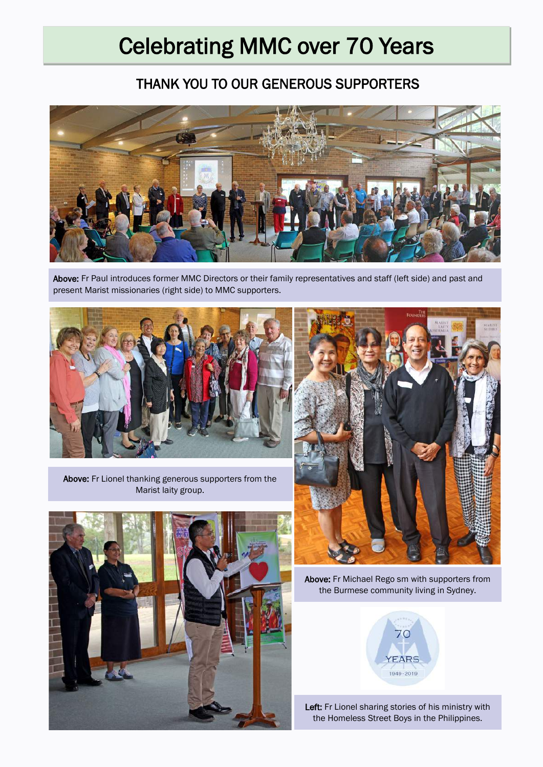# Celebrating MMC over 70 Years

## THANK YOU TO OUR GENEROUS SUPPORTERS



Above: Fr Paul introduces former MMC Directors or their family representatives and staff (left side) and past and present Marist missionaries (right side) to MMC supporters.



Above: Fr Lionel thanking generous supporters from the Marist laity group.





Above: Fr Michael Rego sm with supporters from the Burmese community living in Sydney.



Left: Fr Lionel sharing stories of his ministry with the Homeless Street Boys in the Philippines.